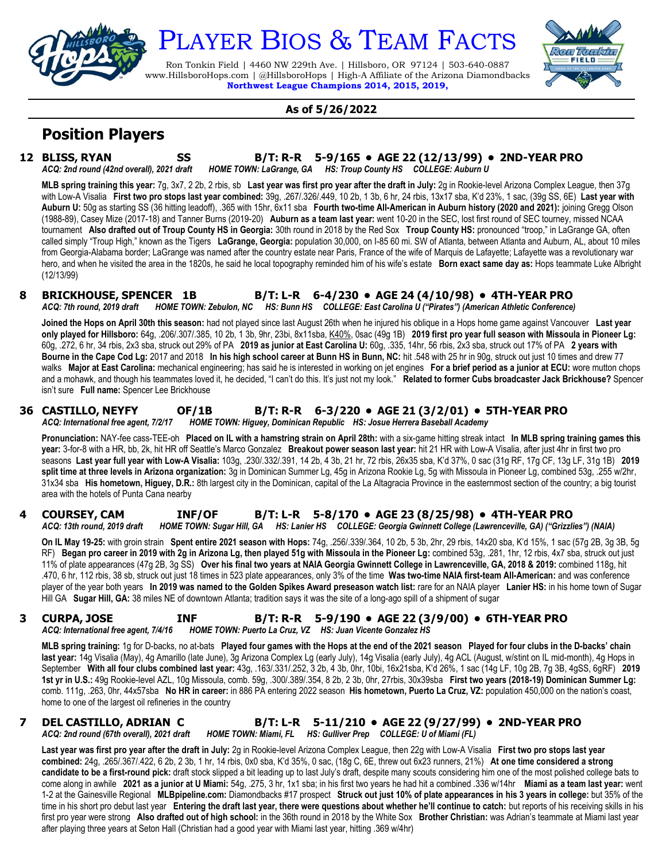

# PLAYER BIOS & TEAM FACTS

Ron Tonkin Field | 4460 NW 229th Ave. | Hillsboro, OR 97124 | 503-640-0887 www.HillsboroHops.com | @HillsboroHops | High-A Affiliate of the Arizona Diamondbacks **Northwest League Champions 2014, 2015, 2019,**



#### **As of 5/26/2022**

# **Position Players**

**12 BLISS, RYAN SS B/T: R-R 5-9/165 • AGE 22 (12/13/99) • 2ND-YEAR PRO** *ACQ: 2nd round (42nd overall), 2021 draft HOME TOWN: LaGrange, GA HS: Troup County HS COLLEGE: Auburn U*

**MLB spring training this year:** 7g, 3x7, 2 2b, 2 rbis, sb **Last year was first pro year after the draft in July:** 2g in Rookie-level Arizona Complex League, then 37g with Low-A Visalia **First two pro stops last year combined:** 39g, .267/.326/.449, 10 2b, 1 3b, 6 hr, 24 rbis, 13x17 sba, K'd 23%, 1 sac, (39g SS, 6E) **Last year with Auburn U:** 50g as starting SS (36 hitting leadoff), .365 with 15hr, 6x11 sba **Fourth two-time All-American in Auburn history (2020 and 2021):** joining Gregg Olson (1988-89), Casey Mize (2017-18) and Tanner Burns (2019-20) **Auburn as a team last year:** went 10-20 in the SEC, lost first round of SEC tourney, missed NCAA tournament **Also drafted out of Troup County HS in Georgia:** 30th round in 2018 by the Red Sox **Troup County HS:** pronounced "troop," in LaGrange GA, often called simply "Troup High," known as the Tigers **LaGrange, Georgia:** population 30,000, on I-85 60 mi. SW of Atlanta, between Atlanta and Auburn, AL, about 10 miles from Georgia-Alabama border; LaGrange was named after the country estate near Paris, France of the wife of Marquis de Lafayette; Lafayette was a revolutionary war hero, and when he visited the area in the 1820s, he said he local topography reminded him of his wife's estate **Born exact same day as:** Hops teammate Luke Albright (12/13/99)

#### **8 BRICKHOUSE, SPENCER 1B B/T: L-R 6-4/230 • AGE 24 (4/10/98) • 4TH-YEAR PRO** *ACQ: 7th round, 2019 draft HOME TOWN: Zebulon, NC HS: Bunn HS COLLEGE: East Carolina U ("Pirates") (American Athletic Conference)*

**Joined the Hops on April 30th this season:** had not played since last August 26th when he injured his oblique in a Hops home game against Vancouver **Last year only played for Hillsboro:** 64g, .206/.307/.385, 10 2b, 1 3b, 9hr, 23bi, 8x11sba, K40%, 0sac (49g 1B) **2019 first pro year full season with Missoula in Pioneer Lg:** 60g, .272, 6 hr, 34 rbis, 2x3 sba, struck out 29% of PA **2019 as junior at East Carolina U:** 60g, .335, 14hr, 56 rbis, 2x3 sba, struck out 17% of PA **2 years with Bourne in the Cape Cod Lg:** 2017 and 2018 **In his high school career at Bunn HS in Bunn, NC:** hit .548 with 25 hr in 90g, struck out just 10 times and drew 77 walks **Major at East Carolina:** mechanical engineering; has said he is interested in working on jet engines **For a brief period as a junior at ECU:** wore mutton chops and a mohawk, and though his teammates loved it, he decided, "I can't do this. It's just not my look." **Related to former Cubs broadcaster Jack Brickhouse?** Spencer isn't sure **Full name:** Spencer Lee Brickhouse

# **36 CASTILLO, NEYFY OF/1B B/T: R-R 6-3/220 • AGE 21 (3/2/01) • 5TH-YEAR PRO**

*ACQ: International free agent, 7/2/17 HOME TOWN: Higuey, Dominican Republic HS: Josue Herrera Baseball Academy*

**Pronunciation:** NAY-fee cass-TEE-oh **Placed on IL with a hamstring strain on April 28th:** with a six-game hitting streak intact **In MLB spring training games this year:** 3-for-8 with a HR, bb, 2k, hit HR off Seattle's Marco Gonzalez **Breakout power season last year:** hit 21 HR with Low-A Visalia, after just 4hr in first two pro seasons **Last year full year with Low-A Visalia:** 103g, .230/.332/.391, 14 2b, 4 3b, 21 hr, 72 rbis, 26x35 sba, K'd 37%, 0 sac (31g RF, 17g CF, 13g LF, 31g 1B) **2019 split time at three levels in Arizona organization:** 3g in Dominican Summer Lg, 45g in Arizona Rookie Lg, 5g with Missoula in Pioneer Lg, combined 53g, .255 w/2hr, 31x34 sba **His hometown, Higuey, D.R.:** 8th largest city in the Dominican, capital of the La Altagracia Province in the easternmost section of the country; a big tourist area with the hotels of Punta Cana nearby

#### **4 COURSEY, CAM INF/OF B/T: L-R 5-8/170 • AGE 23 (8/25/98) • 4TH-YEAR PRO** *ACQ: 13th round, 2019 draft HOME TOWN: Sugar Hill, GA HS: Lanier HS COLLEGE: Georgia Gwinnett College (Lawrenceville, GA) ("Grizzlies") (NAIA)*

**On IL May 19-25:** with groin strain **Spent entire 2021 season with Hops:** 74g, .256/.339/.364, 10 2b, 5 3b, 2hr, 29 rbis, 14x20 sba, K'd 15%, 1 sac (57g 2B, 3g 3B, 5g RF) **Began pro career in 2019 with 2g in Arizona Lg, then played 51g with Missoula in the Pioneer Lg:** combined 53g, .281, 1hr, 12 rbis, 4x7 sba, struck out just 11% of plate appearances (47g 2B, 3g SS) **Over his final two years at NAIA Georgia Gwinnett College in Lawrenceville, GA, 2018 & 2019:** combined 118g, hit .470, 6 hr, 112 rbis, 38 sb, struck out just 18 times in 523 plate appearances, only 3% of the time **Was two-time NAIA first-team All-American:** and was conference player of the year both years **In 2019 was named to the Golden Spikes Award preseason watch list:** rare for an NAIA player **Lanier HS:** in his home town of Sugar Hill GA **Sugar Hill, GA:** 38 miles NE of downtown Atlanta; tradition says it was the site of a long-ago spill of a shipment of sugar

# **3 CURPA, JOSE INF B/T: R-R 5-9/190 • AGE 22 (3/9/00) • 6TH-YEAR PRO**

*ACQ: International free agent, 7/4/16 HOME TOWN: Puerto La Cruz, VZ HS: Juan Vicente Gonzalez HS*

**MLB spring training:** 1g for D-backs, no at-bats **Played four games with the Hops at the end of the 2021 season Played for four clubs in the D-backs' chain last year:** 14g Visalia (May), 4g Amarillo (late June), 3g Arizona Complex Lg (early July), 14g Visalia (early July), 4g ACL (August, w/stint on IL mid-month), 4g Hops in September **With all four clubs combined last year:** 43g, .163/.331/.252, 3 2b, 4 3b, 0hr, 10bi, 16x21sba, K'd 26%, 1 sac (14g LF, 10g 2B, 7g 3B, 4gSS, 6gRF) **2019 1st yr in U.S.:** 49g Rookie-level AZL, 10g Missoula, comb. 59g, .300/.389/.354, 8 2b, 2 3b, 0hr, 27rbis, 30x39sba **First two years (2018-19) Dominican Summer Lg:** comb. 111g, .263, 0hr, 44x57sba **No HR in career:** in 886 PA entering 2022 season **His hometown, Puerto La Cruz, VZ:** population 450,000 on the nation's coast, home to one of the largest oil refineries in the country

## **7 DEL CASTILLO, ADRIAN C B/T: L-R 5-11/210 • AGE 22 (9/27/99) • 2ND-YEAR PRO** *ACQ: 2nd round (67th overall), 2021 draft HOME TOWN: Miami, FL HS: Gulliver Prep COLLEGE: U of Miami (FL)*

**Last year was first pro year after the draft in July:** 2g in Rookie-level Arizona Complex League, then 22g with Low-A Visalia **First two pro stops last year combined:** 24g, .265/.367/.422, 6 2b, 2 3b, 1 hr, 14 rbis, 0x0 sba, K'd 35%, 0 sac, (18g C, 6E, threw out 6x23 runners, 21%) **At one time considered a strong candidate to be a first-round pick:** draft stock slipped a bit leading up to last July's draft, despite many scouts considering him one of the most polished college bats to come along in awhile **2021 as a junior at U Miami:** 54g, .275, 3 hr, 1x1 sba; in his first two years he had hit a combined .336 w/14hr **Miami as a team last year:** went 1-2 at the Gainesville Regional **MLBpipeline.com:** Diamondbacks #17 prospect **Struck out just 10% of plate appearances in his 3 years in college:** but 35% of the time in his short pro debut last year Entering the draft last year, there were questions about whether he'll continue to catch: but reports of his receiving skills in his first pro year were strong **Also drafted out of high school:** in the 36th round in 2018 by the White Sox **Brother Christian:** was Adrian's teammate at Miami last year after playing three years at Seton Hall (Christian had a good year with Miami last year, hitting .369 w/4hr)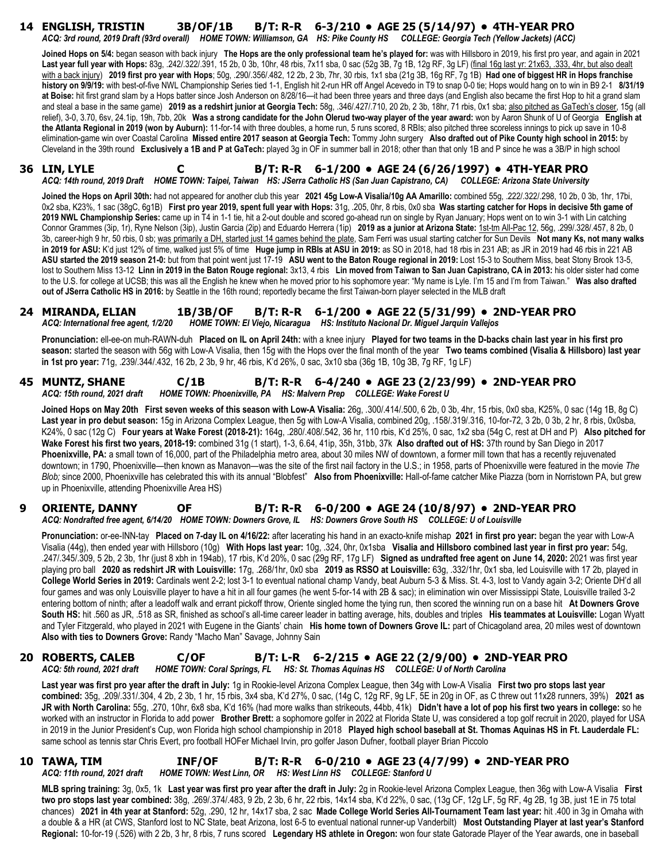#### **14 ENGLISH, TRISTIN 3B/OF/1B B/T: R-R 6-3/210 • AGE 25 (5/14/97) • 4TH-YEAR PRO** *ACQ: 3rd round, 2019 Draft (93rd overall) HOME TOWN: Williamson, GA HS: Pike County HS COLLEGE: Georgia Tech (Yellow Jackets) (ACC)*

**Joined Hops on 5/4:** began season with back injury **The Hops are the only professional team he's played for:** was with Hillsboro in 2019, his first pro year, and again in 2021 **Last year full year with Hops:** 83g, .242/.322/.391, 15 2b, 0 3b, 10hr, 48 rbis, 7x11 sba, 0 sac (52g 3B, 7g 1B, 12g RF, 3g LF) (final 16g last yr: 21x63, .333, 4hr, but also dealt with a back injury) **2019 first pro year with Hops**; 50g, .290/.356/.482, 12 2b, 2 3b, 7hr, 30 rbis, 1x1 sba (21g 3B, 16g RF, 7g 1B) **Had one of biggest HR in Hops franchise history on 9/9/19:** with best-of-five NWL Championship Series tied 1-1, English hit 2-run HR off Angel Acevedo in T9 to snap 0-0 tie; Hops would hang on to win in B9 2-1 **8/31/19 at Boise:** hit first grand slam by a Hops batter since Josh Anderson on 8/28/16—it had been three years and three days (and English also became the first Hop to hit a grand slam and steal a base in the same game) **2019 as a redshirt junior at Georgia Tech:** 58g, .346/.427/.710, 20 2b, 2 3b, 18hr, 71 rbis, 0x1 sba; also pitched as GaTech's closer, 15g (all relief), 3-0, 3.70, 6sv, 24.1ip, 19h, 7bb, 20k **Was a strong candidate for the John Olerud two-way player of the year award:** won by Aaron Shunk of U of Georgia **English at the Atlanta Regional in 2019 (won by Auburn):** 11-for-14 with three doubles, a home run, 5 runs scored, 8 RBIs; also pitched three scoreless innings to pick up save in 10-8 elimination-game win over Coastal Carolina **Missed entire 2017 season at Georgia Tech:** Tommy John surgery **Also drafted out of Pike County high school in 2015:** by Cleveland in the 39th round **Exclusively a 1B and P at GaTech:** played 3g in OF in summer ball in 2018; other than that only 1B and P since he was a 3B/P in high school

#### **36 LIN, LYLE C B/T: R-R 6-1/200 • AGE 24 (6/26/1997) • 4TH-YEAR PRO** *ACQ: 14th round, 2019 Draft HOME TOWN: Taipei, Taiwan HS: JSerra Catholic HS (San Juan Capistrano, CA) COLLEGE: Arizona State University*

**Joined the Hops on April 30th:** had not appeared for another club this year **2021 45g Low-A Visalia/10g AA Amarillo:** combined 55g, .222/.322/.298, 10 2b, 0 3b, 1hr, 17bi, 0x2 sba, K23%, 1 sac (38gC, 6g1B) **First pro year 2019, spent full year with Hops:** 31g, .205, 0hr, 8 rbis, 0x0 sba **Was starting catcher for Hops in decisive 5th game of 2019 NWL Championship Series:** came up in T4 in 1-1 tie, hit a 2-out double and scored go-ahead run on single by Ryan January; Hops went on to win 3-1 with Lin catching Connor Grammes (3ip, 1r), Ryne Nelson (3ip), Justin Garcia (2ip) and Eduardo Herrera (1ip) **2019 as a junior at Arizona State:** 1st-tm All-Pac 12, 56g, .299/.328/.457, 8 2b, 0 3b, career-high 9 hr, 50 rbis, 0 sb; was primarily a DH, started just 14 games behind the plate, Sam Ferri was usual starting catcher for Sun Devils **Not many Ks, not many walks in 2019 for ASU:** K'd just 12% of time, walked just 5% of time **Huge jump in RBIs at ASU in 2019:** as SO in 2018, had 18 rbis in 231 AB; as JR in 2019 had 46 rbis in 221 AB **ASU started the 2019 season 21-0:** but from that point went just 17-19 **ASU went to the Baton Rouge regional in 2019:** Lost 15-3 to Southern Miss, beat Stony Brook 13-5, lost to Southern Miss 13-12 **Linn in 2019 in the Baton Rouge regional:** 3x13, 4 rbis **Lin moved from Taiwan to San Juan Capistrano, CA in 2013:** his older sister had come to the U.S. for college at UCSB; this was all the English he knew when he moved prior to his sophomore year: "My name is Lyle. I'm 15 and I'm from Taiwan." **Was also drafted out of JSerra Catholic HS in 2016:** by Seattle in the 16th round; reportedly became the first Taiwan-born player selected in the MLB draft

#### **24 MIRANDA, ELIAN 1B/3B/OF B/T: R-R 6-1/200 • AGE 22 (5/31/99) • 2ND-YEAR PRO** *ACQ: International free agent, 1/2/20 HOME TOWN: El Viejo, Nicaragua HS: Instituto Nacional Dr. Miguel Jarquin Vallejos*

**Pronunciation:** ell-ee-on muh-RAWN-duh **Placed on IL on April 24th:** with a knee injury **Played for two teams in the D-backs chain last year in his first pro season:** started the season with 56g with Low-A Visalia, then 15g with the Hops over the final month of the year **Two teams combined (Visalia & Hillsboro) last year in 1st pro year:** 71g, .239/.344/.432, 16 2b, 2 3b, 9 hr, 46 rbis, K'd 26%, 0 sac, 3x10 sba (36g 1B, 10g 3B, 7g RF, 1g LF)

#### **45 MUNTZ, SHANE C/1B B/T: R-R 6-4/240 • AGE 23 (2/23/99) • 2ND-YEAR PRO** *ACQ: 15th round, 2021 draft HOME TOWN: Phoenixville, PA HS: Malvern Prep COLLEGE: Wake Forest U*

**Joined Hops on May 20th First seven weeks of this season with Low-A Visalia:** 26g, .300/.414/.500, 6 2b, 0 3b, 4hr, 15 rbis, 0x0 sba, K25%, 0 sac (14g 1B, 8g C) **Last year in pro debut season:** 15g in Arizona Complex League, then 5g with Low-A Visalia, combined 20g, .158/.319/.316, 10-for-72, 3 2b, 0 3b, 2 hr, 8 rbis, 0x0sba, K24%, 0 sac (12g C) **Four years at Wake Forest (2018-21):** 164g, .280/.408/.542, 36 hr, 110 rbis, K'd 25%, 0 sac, 1x2 sba (54g C, rest at DH and P) **Also pitched for Wake Forest his first two years, 2018-19:** combined 31g (1 start), 1-3, 6.64, 41ip, 35h, 31bb, 37k **Also drafted out of HS:** 37th round by San Diego in 2017 **Phoenixville, PA:** a small town of 16,000, part of the Philadelphia metro area, about 30 miles NW of downtown, a former mill town that has a recently rejuvenated downtown; in 1790, Phoenixville—then known as Manavon—was the site of the first nail factory in the U.S.; in 1958, parts of Phoenixville were featured in the movie *The Blob;* since 2000, Phoenixville has celebrated this with its annual "Blobfest" **Also from Phoenixville:** Hall-of-fame catcher Mike Piazza (born in Norristown PA, but grew up in Phoenixville, attending Phoenixville Area HS)

#### **9 ORIENTE, DANNY OF B/T: R-R 6-0/200 • AGE 24 (10/8/97) • 2ND-YEAR PRO** *ACQ: Nondrafted free agent, 6/14/20 HOME TOWN: Downers Grove, IL HS: Downers Grove South HS COLLEGE: U of Louisville*

**Pronunciation:** or-ee-INN-tay **Placed on 7-day IL on 4/16/22:** after lacerating his hand in an exacto-knife mishap **2021 in first pro year:** began the year with Low-A Visalia (44g), then ended year with Hillsboro (10g) **With Hops last year:** 10g, .324, 0hr, 0x1sba **Visalia and Hillsboro combined last year in first pro year:** 54g, .247/.345/.309, 5 2b, 2 3b, 1hr (just 8 xbh in 194ab), 17 rbis, K'd 20%, 0 sac (29g RF, 17g LF) **Signed as undrafted free agent on June 14, 2020:** 2021 was first year playing pro ball **2020 as redshirt JR with Louisville:** 17g, .268/1hr, 0x0 sba **2019 as RSSO at Louisville:** 63g, .332/1hr, 0x1 sba, led Louisville with 17 2b, played in **College World Series in 2019:** Cardinals went 2-2; lost 3-1 to eventual national champ Vandy, beat Auburn 5-3 & Miss. St. 4-3, lost to Vandy again 3-2; Oriente DH'd all four games and was only Louisville player to have a hit in all four games (he went 5-for-14 with 2B & sac); in elimination win over Mississippi State, Louisville trailed 3-2 entering bottom of ninth; after a leadoff walk and errant pickoff throw, Oriente singled home the tying run, then scored the winning run on a base hit **At Downers Grove South HS:** hit .560 as JR, .518 as SR, finished as school's all-time career leader in batting average, hits, doubles and triples **His teammates at Louisville:** Logan Wyatt and Tyler Fitzgerald, who played in 2021 with Eugene in the Giants' chain **His home town of Downers Grove IL:** part of Chicagoland area, 20 miles west of downtown **Also with ties to Downers Grove:** Randy "Macho Man" Savage, Johnny Sain

#### **20 ROBERTS, CALEB C/OF B/T: L-R 6-2/215 • AGE 22 (2/9/00) • 2ND-YEAR PRO** *ACQ: 5th round, 2021 draft HOME TOWN: Coral Springs, FL HS: St. Thomas Aquinas HS COLLEGE: U of North Carolina*

**Last year was first pro year after the draft in July:** 1g in Rookie-level Arizona Complex League, then 34g with Low-A Visalia **First two pro stops last year combined:** 35g, .209/.331/.304, 4 2b, 2 3b, 1 hr, 15 rbis, 3x4 sba, K'd 27%, 0 sac, (14g C, 12g RF, 9g LF, 5E in 20g in OF, as C threw out 11x28 runners, 39%) **2021 as JR with North Carolina:** 55g, .270, 10hr, 6x8 sba, K'd 16% (had more walks than strikeouts, 44bb, 41k) **Didn't have a lot of pop his first two years in college:** so he worked with an instructor in Florida to add power **Brother Brett:** a sophomore golfer in 2022 at Florida State U, was considered a top golf recruit in 2020, played for USA in 2019 in the Junior President's Cup, won Florida high school championship in 2018 **Played high school baseball at St. Thomas Aquinas HS in Ft. Lauderdale FL:** same school as tennis star Chris Evert, pro football HOFer Michael Irvin, pro golfer Jason Dufner, football player Brian Piccolo

#### **10 TAWA, TIM INF/OF B/T: R-R 6-0/210 • AGE 23 (4/7/99) • 2ND-YEAR PRO** *ACQ: 11th round, 2021 draft HOME TOWN: West Linn, OR HS: West Linn HS COLLEGE: Stanford U*

**MLB spring training:** 3g, 0x5, 1k **Last year was first pro year after the draft in July:** 2g in Rookie-level Arizona Complex League, then 36g with Low-A Visalia **First two pro stops last year combined:** 38g, .269/.374/.483, 9 2b, 2 3b, 6 hr, 22 rbis, 14x14 sba, K'd 22%, 0 sac, (13g CF, 12g LF, 5g RF, 4g 2B, 1g 3B, just 1E in 75 total chances) **2021 in 4th year at Stanford:** 52g, .290, 12 hr, 14x17 sba, 2 sac **Made College World Series All-Tournament Team last year:** hit .400 in 3g in Omaha with a double & a HR (at CWS, Stanford lost to NC State, beat Arizona, lost 6-5 to eventual national runner-up Vanderbilt) **Most Outstanding Player at last year's Stanford Regional:** 10-for-19 (.526) with 2 2b, 3 hr, 8 rbis, 7 runs scored **Legendary HS athlete in Oregon:** won four state Gatorade Player of the Year awards, one in baseball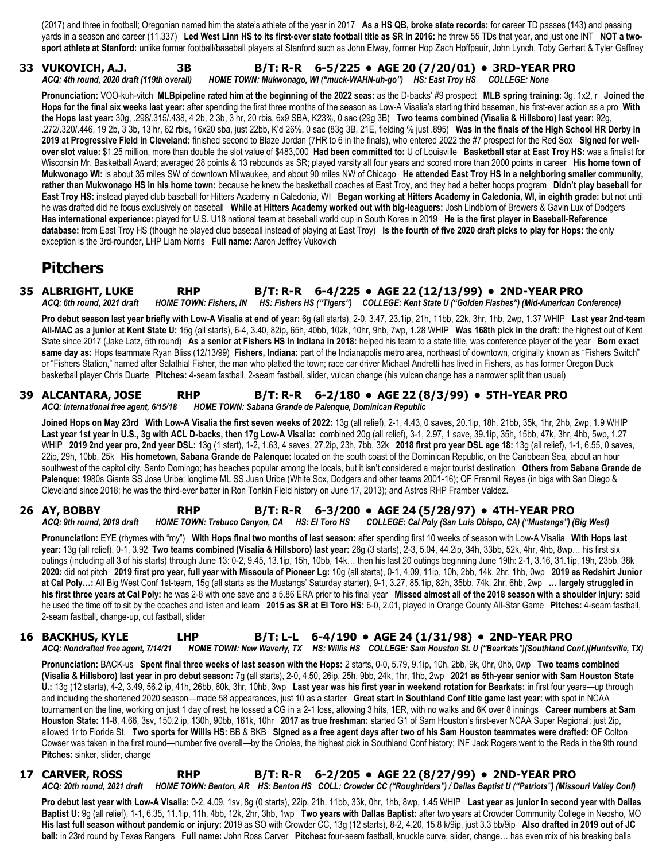(2017) and three in football; Oregonian named him the state's athlete of the year in 2017 **As a HS QB, broke state records:** for career TD passes (143) and passing yards in a season and career (11,337) **Led West Linn HS to its first-ever state football title as SR in 2016:** he threw 55 TDs that year, and just one INT **NOT a twosport athlete at Stanford:** unlike former football/baseball players at Stanford such as John Elway, former Hop Zach Hoffpauir, John Lynch, Toby Gerhart & Tyler Gaffney

#### **33 VUKOVICH, A.J. 3B B/T: R-R 6-5/225 • AGE 20 (7/20/01) • 3RD-YEAR PRO** *ACQ: 4th round, 2020 draft (119th overall) HOME TOWN: Mukwonago, WI ("muck-WAHN-uh-go") HS: East Troy HS COLLEGE: None*

**Pronunciation:** VOO-kuh-vitch **MLBpipeline rated him at the beginning of the 2022 seas:** as the D-backs' #9 prospect **MLB spring training:** 3g, 1x2, r **Joined the Hops for the final six weeks last year:** after spending the first three months of the season as Low-A Visalia's starting third baseman, his first-ever action as a pro **With the Hops last year:** 30g, .298/.315/.438, 4 2b, 2 3b, 3 hr, 20 rbis, 6x9 SBA, K23%, 0 sac (29g 3B) **Two teams combined (Visalia & Hillsboro) last year:** 92g, .272/.320/.446, 19 2b, 3 3b, 13 hr, 62 rbis, 16x20 sba, just 22bb, K'd 26%, 0 sac (83g 3B, 21E, fielding % just .895) **Was in the finals of the High School HR Derby in 2019 at Progressive Field in Cleveland:** finished second to Blaze Jordan (7HR to 6 in the finals), who entered 2022 the #7 prospect for the Red Sox **Signed for wellover slot value:** \$1.25 million, more than double the slot value of \$483,000 **Had been committed to:** U of Louisville **Basketball star at East Troy HS:** was a finalist for Wisconsin Mr. Basketball Award; averaged 28 points & 13 rebounds as SR; played varsity all four years and scored more than 2000 points in career **His home town of Mukwonago WI:** is about 35 miles SW of downtown Milwaukee, and about 90 miles NW of Chicago **He attended East Troy HS in a neighboring smaller community, rather than Mukwonago HS in his home town:** because he knew the basketball coaches at East Troy, and they had a better hoops program **Didn't play baseball for East Troy HS:** instead played club baseball for Hitters Academy in Caledonia, WI **Began working at Hitters Academy in Caledonia, WI, in eighth grade:** but not until he was drafted did he focus exclusively on baseball **While at Hitters Academy worked out with big-leaguers:** Josh Lindblom of Brewers & Gavin Lux of Dodgers **Has international experience:** played for U.S. U18 national team at baseball world cup in South Korea in 2019 **He is the first player in Baseball-Reference database:** from East Troy HS (though he played club baseball instead of playing at East Troy) **Is the fourth of five 2020 draft picks to play for Hops:** the only exception is the 3rd-rounder, LHP Liam Norris **Full name:** Aaron Jeffrey Vukovich

# **Pitchers**

#### **35 ALBRIGHT, LUKE RHP B/T: R-R 6-4/225 • AGE 22 (12/13/99) • 2ND-YEAR PRO** *ACQ: 6th round, 2021 draft HOME TOWN: Fishers, IN HS: Fishers HS ("Tigers") COLLEGE: Kent State U ("Golden Flashes") (Mid-American Conference)*

**Pro debut season last year briefly with Low-A Visalia at end of year:** 6g (all starts), 2-0, 3.47, 23.1ip, 21h, 11bb, 22k, 3hr, 1hb, 2wp, 1.37 WHIP **Last year 2nd-team All-MAC as a junior at Kent State U:** 15g (all starts), 6-4, 3.40, 82ip, 65h, 40bb, 102k, 10hr, 9hb, 7wp, 1.28 WHIP **Was 168th pick in the draft:** the highest out of Kent State since 2017 (Jake Latz, 5th round) **As a senior at Fishers HS in Indiana in 2018:** helped his team to a state title, was conference player of the year **Born exact**  same day as: Hops teammate Ryan Bliss (12/13/99) Fishers, Indiana: part of the Indianapolis metro area, northeast of downtown, originally known as "Fishers Switch" or "Fishers Station," named after Salathial Fisher, the man who platted the town; race car driver Michael Andretti has lived in Fishers, as has former Oregon Duck basketball player Chris Duarte **Pitches:** 4-seam fastball, 2-seam fastball, slider, vulcan change (his vulcan change has a narrower split than usual)

#### **39 ALCANTARA, JOSE RHP B/T: R-R 6-2/180 • AGE 22 (8/3/99) • 5TH-YEAR PRO** *ACQ: International free agent, 6/15/18 HOME TOWN: Sabana Grande de Palenque, Dominican Republic*

**Joined Hops on May 23rd With Low-A Visalia the first seven weeks of 2022:** 13g (all relief), 2-1, 4.43, 0 saves, 20.1ip, 18h, 21bb, 35k, 1hr, 2hb, 2wp, 1.9 WHIP **Last year 1st year in U.S., 3g with ACL D-backs, then 17g Low-A Visalia:** combined 20g (all relief), 3-1, 2.97, 1 save, 39.1ip, 35h, 15bb, 47k, 3hr, 4hb, 5wp, 1.27 WHIP **2019 2nd year pro, 2nd year DSL:** 13g (1 start), 1-2, 1.63, 4 saves, 27.2ip, 23h, 7bb, 32k **2018 first pro year DSL age 18:** 13g (all relief), 1-1, 6.55, 0 saves, 22ip, 29h, 10bb, 25k **His hometown, Sabana Grande de Palenque:** located on the south coast of the Dominican Republic, on the Caribbean Sea, about an hour southwest of the capitol city, Santo Domingo; has beaches popular among the locals, but it isn't considered a major tourist destination **Others from Sabana Grande de Palenque:** 1980s Giants SS Jose Uribe; longtime ML SS Juan Uribe (White Sox, Dodgers and other teams 2001-16); OF Franmil Reyes (in bigs with San Diego & Cleveland since 2018; he was the third-ever batter in Ron Tonkin Field history on June 17, 2013); and Astros RHP Framber Valdez.

#### **26 AY, BOBBY RHP B/T: R-R 6-3/200 • AGE 24 (5/28/97) • 4TH-YEAR PRO** *ACQ: 9th round, 2019 draft HOME TOWN: Trabuco Canyon, CA HS: El Toro HS COLLEGE: Cal Poly (San Luis Obispo, CA) ("Mustangs") (Big West)*

**Pronunciation:** EYE (rhymes with "my") **With Hops final two months of last season:** after spending first 10 weeks of season with Low-A Visalia **With Hops last year:** 13g (all relief), 0-1, 3.92 **Two teams combined (Visalia & Hillsboro) last year:** 26g (3 starts), 2-3, 5.04, 44.2ip, 34h, 33bb, 52k, 4hr, 4hb, 8wp… his first six outings (including all 3 of his starts) through June 13: 0-2, 9.45, 13.1ip, 15h, 10bb, 14k… then his last 20 outings beginning June 19th: 2-1, 3.16, 31.1ip, 19h, 23bb, 38k **2020:** did not pitch **2019 first pro year, full year with Missoula of Pioneer Lg:** 10g (all starts), 0-1, 4.09, 11ip, 10h, 2bb, 14k, 2hr, 1hb, 0wp **2019 as Redshirt Junior at Cal Poly…:** All Big West Conf 1st-team, 15g (all starts as the Mustangs' Saturday starter), 9-1, 3.27, 85.1ip, 82h, 35bb, 74k, 2hr, 6hb, 2wp **… largely struggled in his first three years at Cal Poly:** he was 2-8 with one save and a 5.86 ERA prior to his final year **Missed almost all of the 2018 season with a shoulder injury:** said he used the time off to sit by the coaches and listen and learn **2015 as SR at El Toro HS:** 6-0, 2.01, played in Orange County All-Star Game **Pitches:** 4-seam fastball, 2-seam fastball, change-up, cut fastball, slider

#### **16 BACKHUS, KYLE LHP B/T: L-L 6-4/190 • AGE 24 (1/31/98) • 2ND-YEAR PRO** *ACQ: Nondrafted free agent, 7/14/21 HOME TOWN: New Waverly, TX HS: Willis HS COLLEGE: Sam Houston St. U ("Bearkats")(Southland Conf.)(Huntsville, TX)*

**Pronunciation:** BACK-us **Spent final three weeks of last season with the Hops:** 2 starts, 0-0, 5.79, 9.1ip, 10h, 2bb, 9k, 0hr, 0hb, 0wp **Two teams combined (Visalia & Hillsboro) last year in pro debut season:** 7g (all starts), 2-0, 4.50, 26ip, 25h, 9bb, 24k, 1hr, 1hb, 2wp **2021 as 5th-year senior with Sam Houston State U.:** 13g (12 starts), 4-2, 3.49, 56.2 ip, 41h, 26bb, 60k, 3hr, 10hb, 3wp **Last year was his first year in weekend rotation for Bearkats:** in first four years—up through and including the shortened 2020 season—made 58 appearances, just 10 as a starter **Great start in Southland Conf title game last year:** with spot in NCAA tournament on the line, working on just 1 day of rest, he tossed a CG in a 2-1 loss, allowing 3 hits, 1ER, with no walks and 6K over 8 innings **Career numbers at Sam Houston State:** 11-8, 4.66, 3sv, 150.2 ip, 130h, 90bb, 161k, 10hr **2017 as true freshman:** started G1 of Sam Houston's first-ever NCAA Super Regional; just 2ip, allowed 1r to Florida St. **Two sports for Willis HS:** BB & BKB **Signed as a free agent days after two of his Sam Houston teammates were drafted:** OF Colton Cowser was taken in the first round—number five overall—by the Orioles, the highest pick in Southland Conf history; INF Jack Rogers went to the Reds in the 9th round **Pitches:** sinker, slider, change

#### **17 CARVER, ROSS RHP B/T: R-R 6-2/205 • AGE 22 (8/27/99) • 2ND-YEAR PRO** *ACQ: 20th round, 2021 draft HOME TOWN: Benton, AR HS: Benton HS COLL: Crowder CC ("Roughriders") / Dallas Baptist U ("Patriots") (Missouri Valley Conf)*

**Pro debut last year with Low-A Visalia:** 0-2, 4.09, 1sv, 8g (0 starts), 22ip, 21h, 11bb, 33k, 0hr, 1hb, 8wp, 1.45 WHIP **Last year as junior in second year with Dallas Baptist U:** 9g (all relief), 1-1, 6.35, 11.1ip, 11h, 4bb, 12k, 2hr, 3hb, 1wp **Two years with Dallas Baptist:** after two years at Crowder Community College in Neosho, MO **His last full season without pandemic or injury:** 2019 as SO with Crowder CC, 13g (12 starts), 8-2, 4.20, 15.8 k/9ip, just 3.3 bb/9ip **Also drafted in 2019 out of JC ball:** in 23rd round by Texas Rangers **Full name:** John Ross Carver **Pitches:** four-seam fastball, knuckle curve, slider, change… has even mix of his breaking balls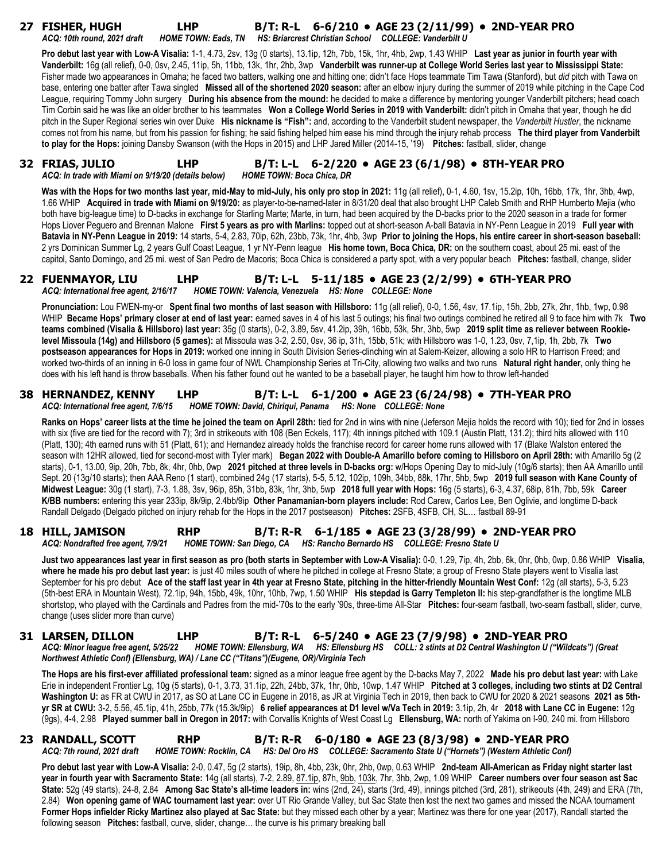| 27 FISHER, HUGH<br><b>LHP</b><br>ACQ: 10th round, 2021 draft                                                                     | HOME TOWN: Eads, TN HS: Briarcrest Christian School COLLEGE: Vanderbilt U | B/T: R-L 6-6/210 • AGE 23 (2/11/99) • 2ND-YEAR PRO                                                                                                                                                                                                                                                                                                                                                                                                                                                                                                                                                                                                                                                                                                                                                                                                                                                                                                                                                                                                                                                                                                                                                                                                                                                                                                                                                                                                                                                                 |
|----------------------------------------------------------------------------------------------------------------------------------|---------------------------------------------------------------------------|--------------------------------------------------------------------------------------------------------------------------------------------------------------------------------------------------------------------------------------------------------------------------------------------------------------------------------------------------------------------------------------------------------------------------------------------------------------------------------------------------------------------------------------------------------------------------------------------------------------------------------------------------------------------------------------------------------------------------------------------------------------------------------------------------------------------------------------------------------------------------------------------------------------------------------------------------------------------------------------------------------------------------------------------------------------------------------------------------------------------------------------------------------------------------------------------------------------------------------------------------------------------------------------------------------------------------------------------------------------------------------------------------------------------------------------------------------------------------------------------------------------------|
|                                                                                                                                  |                                                                           | Pro debut last year with Low-A Visalia: 1-1, 4.73, 2sv, 13g (0 starts), 13.1ip, 12h, 7bb, 15k, 1hr, 4hb, 2wp, 1.43 WHIP Last year as junior in fourth year with<br>Vanderbilt: 16g (all relief), 0-0, 0sv, 2.45, 11ip, 5h, 11bb, 13k, 1hr, 2hb, 3wp Vanderbilt was runner-up at College World Series last year to Mississippi State:<br>Fisher made two appearances in Omaha; he faced two batters, walking one and hitting one; didn't face Hops teammate Tim Tawa (Stanford), but did pitch with Tawa on<br>base, entering one batter after Tawa singled Missed all of the shortened 2020 season: after an elbow injury during the summer of 2019 while pitching in the Cape Cod<br>League, requiring Tommy John surgery During his absence from the mound: he decided to make a difference by mentoring younger Vanderbilt pitchers; head coach<br>Tim Corbin said he was like an older brother to his teammates Won a College World Series in 2019 with Vanderbilt: didn't pitch in Omaha that year, though he did<br>pitch in the Super Regional series win over Duke His nickname is "Fish": and, according to the Vanderbilt student newspaper, the Vanderbilt Hustler, the nickname<br>comes not from his name, but from his passion for fishing; he said fishing helped him ease his mind through the injury rehab process The third player from Vanderbilt<br>to play for the Hops: joining Dansby Swanson (with the Hops in 2015) and LHP Jared Miller (2014-15, '19) Pitches: fastball, slider, change |
| 32 FRIAS, JULIO<br><b>LHP</b><br>ACQ: In trade with Miami on 9/19/20 (details below)                                             | <b>HOME TOWN: Boca Chica, DR</b>                                          | B/T: L-L 6-2/220 • AGE 23 (6/1/98) • 8TH-YEAR PRO                                                                                                                                                                                                                                                                                                                                                                                                                                                                                                                                                                                                                                                                                                                                                                                                                                                                                                                                                                                                                                                                                                                                                                                                                                                                                                                                                                                                                                                                  |
|                                                                                                                                  |                                                                           | Was with the Hops for two months last year, mid-May to mid-July, his only pro stop in 2021: 11g (all relief), 0-1, 4.60, 1sv, 15.2ip, 10h, 16bb, 17k, 1hr, 3hb, 4wp,<br>1.66 WHIP Acquired in trade with Miami on 9/19/20: as player-to-be-named-later in 8/31/20 deal that also brought LHP Caleb Smith and RHP Humberto Mejia (who<br>both have big-league time) to D-backs in exchange for Starling Marte; Marte, in turn, had been acquired by the D-backs prior to the 2020 season in a trade for former<br>Hops Liover Peguero and Brennan Malone First 5 years as pro with Marlins: topped out at short-season A-ball Batavia in NY-Penn League in 2019 Full year with<br>Batavia in NY-Penn League in 2019: 14 starts, 5-4, 2.83, 70ip, 62h, 23bb, 73k, 1hr, 4hb, 3wp Prior to joining the Hops, his entire career in short-season baseball:<br>2 yrs Dominican Summer Lg, 2 years Gulf Coast League, 1 yr NY-Penn league His home town, Boca Chica, DR: on the southern coast, about 25 mi. east of the<br>capitol, Santo Domingo, and 25 mi. west of San Pedro de Macoris; Boca Chica is considered a party spot, with a very popular beach Pitches: fastball, change, slider                                                                                                                                                                                                                                                                                                                            |
| <b>LHP</b><br>22 FUENMAYOR, LIU<br>ACQ: International free agent, 2/16/17 HOME TOWN: Valencia, Venezuela HS: None COLLEGE: None  |                                                                           | B/T: L-L 5-11/185 • AGE 23 (2/2/99) • 6TH-YEAR PRO                                                                                                                                                                                                                                                                                                                                                                                                                                                                                                                                                                                                                                                                                                                                                                                                                                                                                                                                                                                                                                                                                                                                                                                                                                                                                                                                                                                                                                                                 |
|                                                                                                                                  |                                                                           | Pronunciation: Lou FWEN-my-or Spent final two months of last season with Hillsboro: 11g (all relief), 0-0, 1.56, 4sv, 17.1ip, 15h, 2bb, 27k, 2hr, 1hb, 1wp, 0.98<br>WHIP Became Hops' primary closer at end of last year: earned saves in 4 of his last 5 outings; his final two outings combined he retired all 9 to face him with 7k Two<br>teams combined (Visalia & Hillsboro) last year: 35g (0 starts), 0-2, 3.89, 5sv, 41.2ip, 39h, 16bb, 53k, 5hr, 3hb, 5wp 2019 split time as reliever between Rookie-<br>level Missoula (14g) and Hillsboro (5 games): at Missoula was 3-2, 2.50, 0sv, 36 ip, 31h, 15bb, 51k; with Hillsboro was 1-0, 1.23, 0sv, 7,1ip, 1h, 2bb, 7k Two<br>postseason appearances for Hops in 2019: worked one inning in South Division Series-clinching win at Salem-Keizer, allowing a solo HR to Harrison Freed; and<br>worked two-thirds of an inning in 6-0 loss in game four of NWL Championship Series at Tri-City, allowing two walks and two runs Natural right hander, only thing he<br>does with his left hand is throw baseballs. When his father found out he wanted to be a baseball player, he taught him how to throw left-handed                                                                                                                                                                                                                                                                                                                                        |
| <b>38 HERNANDEZ, KENNY</b><br><b>LHP</b><br>ACQ: International free agent, 7/6/15                                                | HOME TOWN: David, Chiriqui, Panama HS: None COLLEGE: None                 | B/T: L-L 6-1/200 • AGE 23 (6/24/98) • 7TH-YEAR PRO                                                                                                                                                                                                                                                                                                                                                                                                                                                                                                                                                                                                                                                                                                                                                                                                                                                                                                                                                                                                                                                                                                                                                                                                                                                                                                                                                                                                                                                                 |
| Randall Delgado (Delgado pitched on injury rehab for the Hops in the 2017 postseason) Pitches: 2SFB, 4SFB, CH, SL fastball 89-91 |                                                                           | Ranks on Hops' career lists at the time he joined the team on April 28th: tied for 2nd in wins with nine (Jeferson Mejia holds the record with 10); tied for 2nd in losses<br>with six (five are tied for the record with 7); 3rd in strikeouts with 108 (Ben Eckels, 117); 4th innings pitched with 109.1 (Austin Platt, 131.2); third hits allowed with 110<br>(Platt, 130); 4th earned runs with 51 (Platt, 61); and Hernandez already holds the franchise record for career home runs allowed with 17 (Blake Walston entered the<br>season with 12HR allowed, tied for second-most with Tyler mark) Began 2022 with Double-A Amarillo before coming to Hillsboro on April 28th: with Amarillo 5g (2<br>starts), 0-1, 13.00, 9ip, 20h, 7bb, 8k, 4hr, 0hb, 0wp 2021 pitched at three levels in D-backs org: w/Hops Opening Day to mid-July (10g/6 starts); then AA Amarillo until<br>Sept. 20 (13g/10 starts); then AAA Reno (1 start), combined 24g (17 starts), 5-5, 5.12, 102ip, 109h, 34bb, 88k, 17hr, 5hb, 5wp 2019 full season with Kane County of<br>Midwest League: 30g (1 start), 7-3, 1.88, 3sv, 96ip, 85h, 31bb, 83k, 1hr, 3hb, 5wp 2018 full year with Hops: 16g (5 starts), 6-3, 4.37, 68ip, 81h, 7bb, 59k Career<br>K/BB numbers: entering this year 233ip, 8k/9ip, 2.4bb/9ip Other Panamanian-born players include: Rod Carew, Carlos Lee, Ben Oglivie, and longtime D-back                                                                                                                       |
| <b>18 HILL, JAMISON</b><br><b>RHP</b><br>ACQ: Nondrafted free agent, 7/9/21                                                      | HOME TOWN: San Diego, CA HS: Rancho Bernardo HS COLLEGE: Fresno State U   | B/T: R-R 6-1/185 • AGE 23 (3/28/99) • 2ND-YEAR PRO                                                                                                                                                                                                                                                                                                                                                                                                                                                                                                                                                                                                                                                                                                                                                                                                                                                                                                                                                                                                                                                                                                                                                                                                                                                                                                                                                                                                                                                                 |
| change (uses slider more than curve)                                                                                             |                                                                           | Just two appearances last year in first season as pro (both starts in September with Low-A Visalia): 0-0, 1.29, 7ip, 4h, 2bb, 6k, 0hr, 0hb, 0wp, 0.86 WHIP Visalia,<br>where he made his pro debut last year: is just 40 miles south of where he pitched in college at Fresno State; a group of Fresno State players went to Visalia last<br>September for his pro debut Ace of the staff last year in 4th year at Fresno State, pitching in the hitter-friendly Mountain West Conf: 12g (all starts), 5-3, 5.23<br>(5th-best ERA in Mountain West), 72.1ip, 94h, 15bb, 49k, 10hr, 10hb, 7wp, 1.50 WHIP His stepdad is Garry Templeton II: his step-grandfather is the longtime MLB<br>shortstop, who played with the Cardinals and Padres from the mid-'70s to the early '90s, three-time All-Star Pitches: four-seam fastball, two-seam fastball, slider, curve,                                                                                                                                                                                                                                                                                                                                                                                                                                                                                                                                                                                                                                                 |

**31 LARSEN, DILLON LHP B/T: R-L 6-5/240 • AGE 23 (7/9/98) • 2ND-YEAR PRO** *ACQ: Minor league free agent, 5/25/22 HOME TOWN: Ellensburg, WA HS: Ellensburg HS COLL: 2 stints at D2 Central Washington U ("Wildcats") (Great Northwest Athletic Conf) (Ellensburg, WA) / Lane CC ("Titans")(Eugene, OR)/Virginia Tech*

**The Hops are his first-ever affiliated professional team:** signed as a minor league free agent by the D-backs May 7, 2022 **Made his pro debut last year:** with Lake Erie in independent Frontier Lg, 10g (5 starts), 0-1, 3.73, 31.1ip, 22h, 24bb, 37k, 1hr, 0hb, 10wp, 1.47 WHIP **Pitched at 3 colleges, including two stints at D2 Central Washington U:** as FR at CWU in 2017, as SO at Lane CC in Eugene in 2018, as JR at Virginia Tech in 2019, then back to CWU for 2020 & 2021 seasons **2021 as 5thyr SR at CWU:** 3-2, 5.56, 45.1ip, 41h, 25bb, 77k (15.3k/9ip) **6 relief appearances at D1 level w/Va Tech in 2019:** 3.1ip, 2h, 4r **2018 with Lane CC in Eugene:** 12g (9gs), 4-4, 2.98 **Played summer ball in Oregon in 2017:** with Corvallis Knights of West Coast Lg **Ellensburg, WA:** north of Yakima on I-90, 240 mi. from Hillsboro

## **23 RANDALL, SCOTT RHP B/T: R-R 6-0/180 • AGE 23 (8/3/98) • 2ND-YEAR PRO** *ACQ: 7th round, 2021 draft HOME TOWN: Rocklin, CA HS: Del Oro HS COLLEGE: Sacramento State U ("Hornets") (Western Athletic Conf)*

**Pro debut last year with Low-A Visalia:** 2-0, 0.47, 5g (2 starts), 19ip, 8h, 4bb, 23k, 0hr, 2hb, 0wp, 0.63 WHIP **2nd-team All-American as Friday night starter last year in fourth year with Sacramento State:** 14g (all starts), 7-2, 2.89, 87.1ip, 87h, 9bb, 103k, 7hr, 3hb, 2wp, 1.09 WHIP **Career numbers over four season ast Sac State:** 52g (49 starts), 24-8, 2.84 **Among Sac State's all-time leaders in:** wins (2nd, 24), starts (3rd, 49), innings pitched (3rd, 281), strikeouts (4th, 249) and ERA (7th, 2.84) **Won opening game of WAC tournament last year:** over UT Rio Grande Valley, but Sac State then lost the next two games and missed the NCAA tournament **Former Hops infielder Ricky Martinez also played at Sac State:** but they missed each other by a year; Martinez was there for one year (2017), Randall started the following season **Pitches:** fastball, curve, slider, change… the curve is his primary breaking ball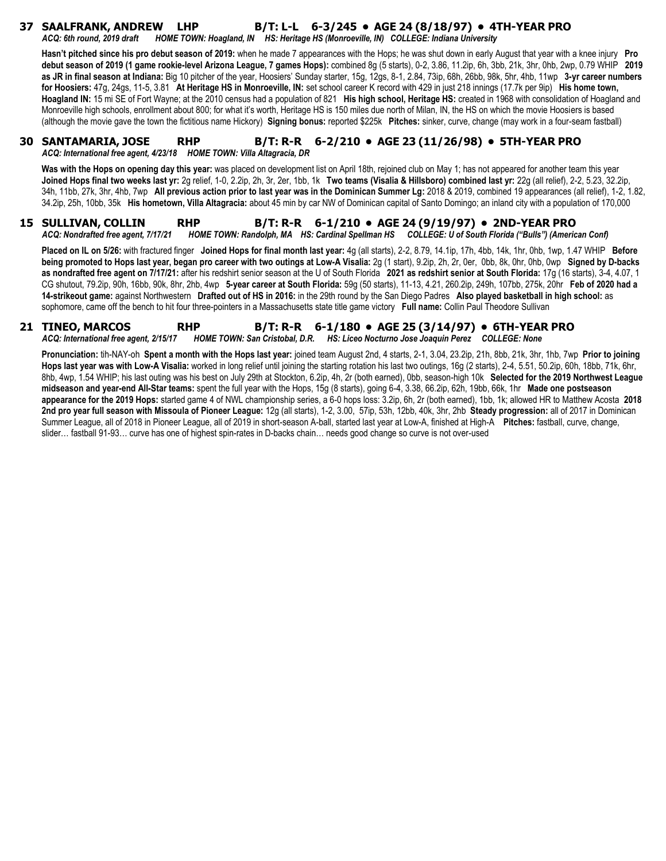# **37 SAALFRANK, ANDREW LHP B/T: L-L 6-3/245 • AGE 24 (8/18/97) • 4TH-YEAR PRO**

*ACQ: 6th round, 2019 draft HOME TOWN: Hoagland, IN HS: Heritage HS (Monroeville, IN) COLLEGE: Indiana University* 

**Hasn't pitched since his pro debut season of 2019:** when he made 7 appearances with the Hops; he was shut down in early August that year with a knee injury **Pro debut season of 2019 (1 game rookie-level Arizona League, 7 games Hops):** combined 8g (5 starts), 0-2, 3.86, 11.2ip, 6h, 3bb, 21k, 3hr, 0hb, 2wp, 0.79 WHIP **2019 as JR in final season at Indiana:** Big 10 pitcher of the year, Hoosiers' Sunday starter, 15g, 12gs, 8-1, 2.84, 73ip, 68h, 26bb, 98k, 5hr, 4hb, 11wp **3-yr career numbers for Hoosiers:** 47g, 24gs, 11-5, 3.81 **At Heritage HS in Monroeville, IN:** set school career K record with 429 in just 218 innings (17.7k per 9ip) **His home town, Hoagland IN:** 15 mi SE of Fort Wayne; at the 2010 census had a population of 821 **His high school, Heritage HS:** created in 1968 with consolidation of Hoagland and Monroeville high schools, enrollment about 800; for what it's worth, Heritage HS is 150 miles due north of Milan, IN, the HS on which the movie Hoosiers is based (although the movie gave the town the fictitious name Hickory) **Signing bonus:** reported \$225k **Pitches:** sinker, curve, change (may work in a four-seam fastball)

#### **30 SANTAMARIA, JOSE RHP B/T: R-R 6-2/210 • AGE 23 (11/26/98) • 5TH-YEAR PRO** *ACQ: International free agent, 4/23/18 HOME TOWN: Villa Altagracia, DR*

**Was with the Hops on opening day this year:** was placed on development list on April 18th, rejoined club on May 1; has not appeared for another team this year **Joined Hops final two weeks last yr:** 2g relief, 1-0, 2.2ip, 2h, 3r, 2er, 1bb, 1k **Two teams (Visalia & Hillsboro) combined last yr:** 22g (all relief), 2-2, 5.23, 32.2ip, 34h, 11bb, 27k, 3hr, 4hb, 7wp **All previous action prior to last year was in the Dominican Summer Lg:** 2018 & 2019, combined 19 appearances (all relief), 1-2, 1.82, 34.2ip, 25h, 10bb, 35k **His hometown, Villa Altagracia:** about 45 min by car NW of Dominican capital of Santo Domingo; an inland city with a population of 170,000

#### **15 SULLIVAN, COLLIN RHP B/T: R-R 6-1/210 • AGE 24 (9/19/97) • 2ND-YEAR PRO** *ACQ: Nondrafted free agent, 7/17/21 HOME TOWN: Randolph, MA HS: Cardinal Spellman HS COLLEGE: U of South Florida ("Bulls") (American Conf)*

**Placed on IL on 5/26:** with fractured finger **Joined Hops for final month last year:** 4g (all starts), 2-2, 8.79, 14.1ip, 17h, 4bb, 14k, 1hr, 0hb, 1wp, 1.47 WHIP **Before being promoted to Hops last year, began pro career with two outings at Low-A Visalia:** 2g (1 start), 9.2ip, 2h, 2r, 0er, 0bb, 8k, 0hr, 0hb, 0wp **Signed by D-backs as nondrafted free agent on 7/17/21:** after his redshirt senior season at the U of South Florida **2021 as redshirt senior at South Florida:** 17g (16 starts), 3-4, 4.07, 1 CG shutout, 79.2ip, 90h, 16bb, 90k, 8hr, 2hb, 4wp **5-year career at South Florida:** 59g (50 starts), 11-13, 4.21, 260.2ip, 249h, 107bb, 275k, 20hr **Feb of 2020 had a 14-strikeout game:** against Northwestern **Drafted out of HS in 2016:** in the 29th round by the San Diego Padres **Also played basketball in high school:** as sophomore, came off the bench to hit four three-pointers in a Massachusetts state title game victory **Full name:** Collin Paul Theodore Sullivan

#### **21 TINEO, MARCOS RHP B/T: R-R 6-1/180 • AGE 25 (3/14/97) • 6TH-YEAR PRO** *ACQ: International free agent, 2/15/17 HOME TOWN: San Cristobal, D.R. HS: Liceo Nocturno Jose Joaquin Perez COLLEGE: None*

**Pronunciation:** tih-NAY-oh **Spent a month with the Hops last year:** joined team August 2nd, 4 starts, 2-1, 3.04, 23.2ip, 21h, 8bb, 21k, 3hr, 1hb, 7wp **Prior to joining Hops last year was with Low-A Visalia:** worked in long relief until joining the starting rotation his last two outings, 16g (2 starts), 2-4, 5.51, 50.2ip, 60h, 18bb, 71k, 6hr, 8hb, 4wp, 1.54 WHIP; his last outing was his best on July 29th at Stockton, 6.2ip, 4h, 2r (both earned), 0bb, season-high 10k **Selected for the 2019 Northwest League midseason and year-end All-Star teams:** spent the full year with the Hops, 15g (8 starts), going 6-4, 3.38, 66.2ip, 62h, 19bb, 66k, 1hr **Made one postseason appearance for the 2019 Hops:** started game 4 of NWL championship series, a 6-0 hops loss: 3.2ip, 6h, 2r (both earned), 1bb, 1k; allowed HR to Matthew Acosta **2018 2nd pro year full season with Missoula of Pioneer League:** 12g (all starts), 1-2, 3.00, 57ip, 53h, 12bb, 40k, 3hr, 2hb **Steady progression:** all of 2017 in Dominican Summer League, all of 2018 in Pioneer League, all of 2019 in short-season A-ball, started last year at Low-A, finished at High-A **Pitches:** fastball, curve, change, slider… fastball 91-93… curve has one of highest spin-rates in D-backs chain… needs good change so curve is not over-used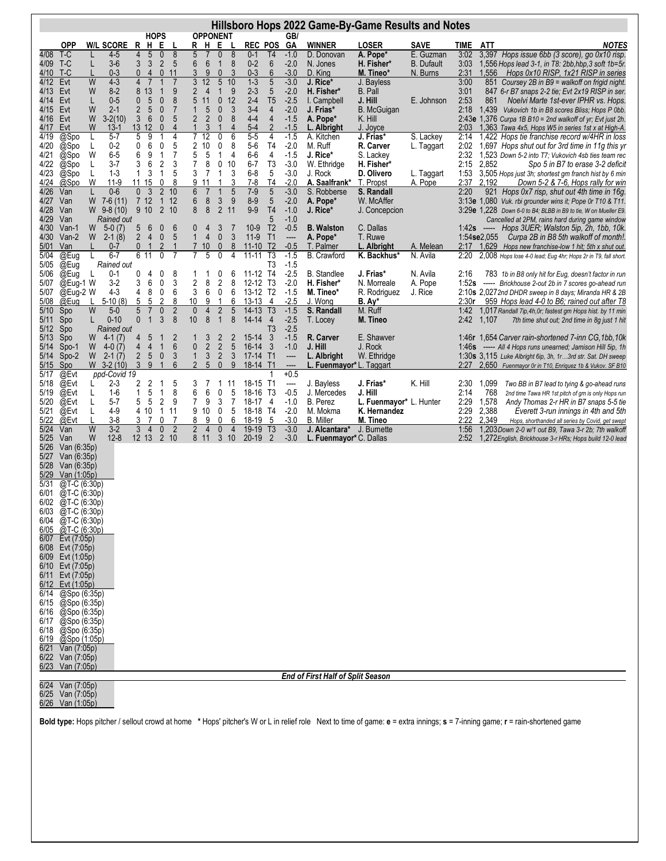| Hillsboro Hops 2022 Game-By-Game Results and Notes |                                      |        |                               |                                |                                  |                               |                                 |                                |                      |                              |                     |                        |                                   |                  |                                          |                               |                       |              |                |                                                                                                                       |
|----------------------------------------------------|--------------------------------------|--------|-------------------------------|--------------------------------|----------------------------------|-------------------------------|---------------------------------|--------------------------------|----------------------|------------------------------|---------------------|------------------------|-----------------------------------|------------------|------------------------------------------|-------------------------------|-----------------------|--------------|----------------|-----------------------------------------------------------------------------------------------------------------------|
|                                                    | <b>OPP</b>                           |        | <b>W/L SCORE</b>              | $\mathsf{R}$                   |                                  | <b>HOPS</b><br>$H$ E          | L                               | R                              | H E                  | <b>OPPONENT</b>              |                     | <b>REC POS</b>         |                                   | GB/<br><b>GA</b> | <b>WINNER</b>                            | <b>LOSER</b>                  | <b>SAVE</b>           | TIME         | <b>ATT</b>     | <b>NOTES</b>                                                                                                          |
| 4/08                                               | T-C                                  |        | 4-5                           | 4                              | $\sqrt{5}$                       | $\boldsymbol{0}$              | $\infty$                        | 5                              | $\overline{7}$       | $\boldsymbol{0}$             | 8                   | $0 - 1$                | T <sub>4</sub>                    | $-1.0$           | D. Donovan                               | A. Pope*                      | E. Guzman             | 3:02         |                | 3,397 Hops issue 6bb (3 score), go 0x10 risp.                                                                         |
| 4/09                                               | T-C                                  | L      | $3-6$                         | 3                              | 3                                | $\overline{2}$                | 5                               | 6                              | $\boldsymbol{6}$     | $\mathbf{1}$                 | $\boldsymbol{8}$    | $0 - 2$                | $6\,$                             | $-2.0$           | N. Jones                                 | H. Fisher*                    | <b>B.</b> Dufault     | 3:03         |                | 1,556 Hops lead 3-1, in T8: 2bb, hbp, 3 soft 1b=5r.                                                                   |
| 4/10<br>4/12                                       | T-C<br>Evt                           | W      | $0 - 3$<br>$4 - 3$            | $\mathbf{0}$<br>$\overline{4}$ | $\overline{4}$<br>$\overline{7}$ | $\mathbf 0$<br>$\mathbf{1}$   | 11<br>$\overline{7}$            | 3<br>3                         | 9<br>12              | $\pmb{0}$<br>$\overline{5}$  | 3<br>10             | $0 - 3$<br>$1 - 3$     | $6\phantom{1}6$<br>$\overline{5}$ | $-3.0$<br>$-3.0$ | D. King<br>J. Rice*                      | M. Tineo*<br>J. Bayless       | N. Burns              | 2:31<br>3:00 | 1,556          | Hops 0x10 RISP, 1x21 RISP in series<br>851 Coursey 2B in B9 = walkoff on frigid night.                                |
| 4/13                                               | Evt                                  | W      | $8-2$                         | 8                              | 13                               | $\mathbf 1$                   | 9                               | $\overline{2}$                 | $\overline{4}$       | $\mathbf{1}$                 | 9                   | $2 - 3$                | 5                                 | $-2.0$           | H. Fisher*                               | B. Pall                       |                       | 3:01         |                | 847 6-r B7 snaps 2-2 tie; Evt 2x19 RISP in ser.                                                                       |
| 4/14                                               | Evt                                  | L      | $0-5$                         | 0                              | 5                                | $\pmb{0}$                     | 8                               | 5                              | 11                   | $\pmb{0}$                    | 12                  | $2 - 4$                | T <sub>5</sub>                    | $-2.5$           | I. Campbell                              | J. Hill                       | E. Johnson            | 2:53         | 861            | Noelvi Marte 1st-ever IPHR vs. Hops.                                                                                  |
| 4/15<br>4/16                                       | Evt<br>Evt                           | W<br>W | $2 - 1$<br>$3-2(10)$          | $\overline{2}$<br>3            | $\sqrt{5}$<br>6                  | $\pmb{0}$<br>$\boldsymbol{0}$ | $\sqrt{7}$<br>5                 | $\mathbf{1}$<br>$\overline{2}$ | 5<br>$\overline{c}$  | $\pmb{0}$<br>$\pmb{0}$       | 3<br>8              | $3-4$<br>$4 - 4$       | $\overline{4}$<br>$\overline{4}$  | $-2.0$<br>$-1.5$ | J. Frias*<br>A. Pope*                    | <b>B.</b> McGuigan<br>K. Hill |                       | 2:18         | 1,439          | Vukovich 1b in B8 scores Bliss; Hops P 0bb.<br>2:43e 1,376 Curpa 1B B10 = 2nd walkoff of yr; Evt just 2h.             |
| 4/17                                               | Evt                                  | W      | $13-1$                        |                                | 1312                             | $\mathbf{0}$                  | $\overline{4}$                  | 1                              | 3                    | $\mathbf 1$                  | $\overline{4}$      | $5-4$                  | $\overline{2}$                    | $-1.5$           | L. Albright                              | J. Joyce                      |                       | 2:03         |                | 1,363 Tawa 4x5, Hops W5 in series 1st x at High-A.                                                                    |
| 4/19                                               | @Spo                                 | L      | $5 - 7$                       | 5                              | 9                                |                               | 4                               |                                | 12                   | 0                            | 6                   | $5-5$                  | 4                                 | $-1.5$           | A. Kitchen                               | J. Frias*                     | S. Lackey             | 2:14         |                | 1,422 Hops tie franchise record w/4HR in loss                                                                         |
| 4/20<br>4/21                                       | @Spo<br>@Spo                         | L<br>W | $0 - 2$<br>$6-5$              | 0<br>6                         | 6<br>9                           | 0<br>$\mathbf{1}$             | 5<br>$\overline{7}$             | 2<br>5                         | 10<br>$\mathbf 5$    | 0<br>$\mathbf{1}$            | 8<br>4              | $5-6$<br>$6-6$         | T <sub>4</sub><br>4               | $-2.0$<br>$-1.5$ | M. Ruff<br>J. Rice*                      | R. Carver<br>S. Lackey        | L. Taggart            | 2:02<br>2:32 |                | 1,697 Hops shut out for 3rd time in 11g this yr<br>1,523 Down 5-2 into T7; Vukovich 4sb ties team rec                 |
| 4/22                                               | @Spo                                 | L      | $3 - 7$                       | 3                              | 6                                | $\sqrt{2}$                    | 3                               | 7                              | 8                    | 0                            | 10                  | $6 - 7$                | T <sub>3</sub>                    | $-3.0$           | W. Ethridge                              | H. Fisher*                    |                       | 2:15         | 2,852          | Spo 5 in B7 to erase 3-2 deficit                                                                                      |
| 4/23<br>4/24                                       | @Spo<br>@Spo                         | L<br>W | $1 - 3$<br>$11-9$             | 1                              | 3<br>11 15                       | $\mathbf{1}$<br>0             | 5<br>8                          | 3<br>9                         | $\overline{7}$<br>11 | $\mathbf{1}$<br>$\mathbf{1}$ | $\sqrt{3}$<br>3     | $6 - 8$<br>$7 - 8$     | $\mathbf 5$<br>T <sub>4</sub>     | $-3.0$<br>$-2.0$ | J. Rock<br>A. Saalfrank*                 | D. Olivero                    | L. Taggart<br>A. Pope | 1:53<br>2:37 | 2,192          | 3,505 Hops just 3h; shortest gm franch hist by 6 min                                                                  |
| 4/26                                               | Van                                  | L      | $0-6$                         | $\mathbf 0$                    | 3                                | $\overline{2}$                | 10                              | 6                              | $\overline{7}$       | $\mathbf{1}$                 | 5                   | $7 - 9$                | $\sqrt{5}$                        | $-3.0$           | S. Robberse                              | T. Propst<br>S. Randall       |                       | 2:20         | 921            | Down 5-2 & 7-6, Hops rally for win<br>Hops 0x7 risp, shut out 4th time in 16g.                                        |
| 4/27                                               | Van                                  | W      | $7-6(11)$                     |                                | 7 <sub>12</sub>                  | $\mathbf{1}$                  | 12                              | 6                              | $\bf 8$              | 3                            | 9                   | $8-9$                  | 5                                 | $-2.0$           | A. Pope*                                 | W. McAffer                    |                       |              |                | 3:13e 1,080 Vuk. rbi grounder wins it; Pope 0r T10 & T11.                                                             |
| 4/28<br>4/29                                       | Van<br>Van                           |        | $W$ 9-8 (10)<br>Rained out    |                                | 9 10                             | $\overline{2}$                | 10                              | 8                              | 8                    | $\overline{2}$               | 11                  | $9-9$                  | T <sub>4</sub><br>5               | $-1.0$<br>$-1.0$ | J. Rice*                                 | J. Concepcion                 |                       |              |                | 3:29e 1,228 Down 6-0 to B4; BLBB in B9 to tie, W on Mueller E9.                                                       |
| 4/30                                               | Van-1                                | W      | $5-0(7)$                      | 5                              | 6                                | $\boldsymbol{0}$              | 6                               | 0                              | 4                    | 3                            | 7                   | $10-9$                 | T <sub>2</sub>                    | $-0.5$           | <b>B.</b> Walston                        | C. Dallas                     |                       |              | 1:42 $s$ ----- | Cancelled at 2PM, rains hard during game window<br>Hops 3UER; Walston 5ip, 2h, 1bb, 10k.                              |
| 4/30                                               | $Van-2$                              | W      | $2-1(8)$                      | $\overline{2}$                 | $\overline{4}$                   | $\mathbf 0$                   | 5                               | $\mathbf{1}$                   | 4                    | $\boldsymbol{0}$             | 3                   | $11-9$                 | T1                                | ----             | A. Pope*                                 | T. Ruwe                       |                       |              | 1:54se2,055    | Curpa 2B in B8 5th walkoff of month!.                                                                                 |
| 5/01<br>5/04                                       | Van<br>@Eug                          |        | $0 - 7$<br>$6 - 7$            | $\mathbf{0}$                   | -1<br>6 11                       | 2<br>0                        | $\mathbf{1}$<br>7               | $\overline{7}$                 | 10<br>5              | $\mathbf{0}$<br>0            | 8<br>4              | $11 - 10$<br>$11 - 11$ | T <sub>2</sub><br>T <sub>3</sub>  | $-0.5$<br>$-1.5$ | T. Palmer<br><b>B.</b> Crawford          | L. Albright<br>K. Backhus*    | A. Melean             | 2:17         |                | 1,629 Hops new franchise-low 1 hit; 5th x shut out.                                                                   |
| 5/05                                               | @Eug                                 | L      | Rained out                    |                                |                                  |                               |                                 |                                |                      |                              |                     |                        | T <sub>3</sub>                    | $-1.5$           |                                          |                               | N. Avila              | 2:20         |                | 2,008 Hops lose 4-0 lead; Eug 4hr; Hops 2r in T9, fall short.                                                         |
| 5/06                                               | @Eug                                 | L      | $0 - 1$                       | 0                              | 4                                | 0                             | 8                               |                                |                      | 0                            | 6                   | $11-12$                | T4                                | $-2.5$           | <b>B.</b> Standlee                       | J. Frias*                     | N. Avila              | 2:16         |                | 783 1b in B8 only hit for Eug, doesn't factor in run                                                                  |
| 5/07<br>5/07                                       | @Eug-1 W<br>@Eug-2 W                 |        | $3-2$<br>$4 - 3$              | 3<br>4                         | 6<br>8                           | 0<br>0                        | 3<br>6                          | $\overline{\mathbf{c}}$<br>3   | 8<br>6               | $\overline{c}$<br>0          | 8<br>6              | 12-12 T3<br>13-12 T2   |                                   | $-2.0$<br>$-1.5$ | H. Fisher*<br>M. Tineo*                  | N. Morreale<br>R. Rodriguez   | A. Pope<br>J. Rice    | 1:52s        |                | ----- Brickhouse 2-out 2b in 7 scores go-ahead run<br>2:10s 2,0272nd DHDR sweep in 8 days; Miranda HR & 2B            |
| 5/08                                               | @Eug                                 |        | $5-10(8)$                     | 5                              | 5                                | $\overline{2}$                | 8                               | 10                             | 9                    | 1                            | 6                   | $13-13$                | 4                                 | $-2.5$           | J. Wong                                  | B. Ay*                        |                       | 2:30r        |                | 959 Hops lead 4-0 to B6; rained out after T8                                                                          |
| 5/10                                               | Spo                                  | W      | $5-0$                         | $5\,$                          | $\overline{7}$                   | $\mathbf 0$                   | $\overline{c}$                  | $\mathbf 0$                    | $\overline{4}$       | $\overline{2}$               | $\sqrt{5}$          | 14-13 T3               |                                   | $-1.5$           | S. Randall                               | M. Ruff                       |                       | 1:42         |                | 1,017 Randall 7ip, 4h, 0r; fastest gm Hops hist. by 11 min                                                            |
| 5/11<br>5/12                                       | Spo<br>Spo                           | L      | $0 - 10$<br>Rained out        | $\mathbf 0$                    | $\mathbf{1}$                     | 3                             | 8                               | 10                             | 8                    | $\mathbf{1}$                 | 8                   | 14-14                  | $\overline{4}$<br>T <sub>3</sub>  | $-2.5$<br>$-2.5$ | T. Locey                                 | M. Tineo                      |                       | 2:42         | 1,107          | 7th time shut out; 2nd time in 8g just 1 hit                                                                          |
| 5/13                                               | Spo                                  | W      | $4-1(7)$                      | 4                              | 5                                | $\mathbf{1}$                  | $\overline{\mathbf{c}}$         | 1                              | 3                    | $\overline{2}$               | $\overline{2}$      | $15-14$                | 3                                 | $-1.5$           | R. Carver                                | E. Shawver                    |                       |              |                | 1:46r 1,654 Carver rain-shortened 7-inn CG, 1bb, 10k                                                                  |
| 5/14                                               | Spo-1                                | W      | $4-0(7)$                      | 4                              | 4                                | $\mathbf{1}$                  | 6                               | 0                              | $\sqrt{2}$           | $\overline{\mathbf{c}}$      | $\sqrt{5}$          | 16-14                  | $\overline{\mathbf{3}}$           | $-1.0$           | J. Hill                                  | J. Rock                       |                       | 1:46s        |                | ----- All 4 Hops runs unearned; Jamison Hill 5ip, 1h                                                                  |
| 5/14<br>5/15                                       | Spo-2<br>Spo                         |        | $W$ 2-1 $(7)$<br>$W$ 3-2 (10) | $\overline{\mathbf{c}}$<br>3   | $5\phantom{.0}$<br>9             | $\pmb{0}$<br>$\mathbf{1}$     | $\mathsf{3}$<br>$6\phantom{1}6$ | $\mathbf{1}$<br>$\overline{2}$ | $\sqrt{3}$<br>5      | $\sqrt{2}$<br>$\mathbf{0}$   | $\sqrt{3}$<br>9     | 17-14 T1<br>18-14 T1   |                                   | ----<br>----     | L. Albright<br>L. Fuenmayor*L. Taggart   | W. Ethridge                   |                       | 2:27         |                | 1:30s 3,115 Luke Albright 6ip, 3h, 1r3rd str. Sat. DH sweep<br>2,650 Fuenmayor Or in T10, Enriquez 1b & Vukov. SF B10 |
| 5/17                                               | @Evt                                 |        | ppd-Covid 19                  |                                |                                  |                               |                                 |                                |                      |                              |                     |                        | 1                                 | $+0.5$           |                                          |                               |                       |              |                |                                                                                                                       |
| 5/18<br>5/19                                       | @Evt<br>@Evt                         | L<br>L | $2 - 3$<br>$1-6$              | 2<br>1                         | 2<br>5                           | 1<br>1                        | 5<br>8                          | 3<br>6                         | 7<br>6               | 1<br>0                       | 11<br>5             | 18-15 T1<br>18-16      | T3                                | ----<br>$-0.5$   | J. Bayless<br>J. Mercedes                | J. Frias*<br>J. Hill          | K. Hill               | 2:30<br>2:14 | 1,099<br>768   | Two BB in B7 lead to tying & go-ahead runs<br>2nd time Tawa HR 1st pitch of gm is only Hops run                       |
| 5/20                                               | @Evt                                 | L      | $5 - 7$                       | 5                              | 5                                | $\overline{2}$                | 9                               | 7                              | 9                    | $\mathsf 3$                  | $\overline{7}$      | 18-17                  | 4                                 | $-1.0$           | B. Perez                                 | L. Fuenmayor* L. Hunter       |                       | 2:29         | 1,578          | Andy Thomas 2-r HR in B7 snaps 5-5 tie                                                                                |
| 5/21                                               | @Evt                                 | L      | $4-9$                         |                                | 4 10                             | $\mathbf{1}$                  | 11                              | 9                              | 10                   | 0                            | 5                   | 18-18 T4               |                                   | $-2.0$           | M. Mokma                                 | K. Hernandez                  |                       | 2:29         | 2,388          | Everett 3-run innings in 4th and 5th                                                                                  |
| 5/22<br>5/24                                       | @Evt<br>Van                          | W      | $3 - 8$<br>$3-2$              | 3<br>3                         | 7<br>$\overline{4}$              | 0<br>$\pmb{0}$                | 7<br>$\overline{2}$             | 8<br>$\overline{c}$            | 9<br>$\overline{4}$  | 0<br>$\pmb{0}$               | 6<br>$\overline{4}$ | 18-19<br>$19-19$       | 5<br>T <sub>3</sub>               | $-3.0$<br>$-3.0$ | <b>B.</b> Miller<br>J. Alcantara*        | M. Tineo<br>J. Burnette       |                       | 2:22<br>1:56 | 2,349          | Hops, shorthanded all series by Covid, get swept<br>1,203Down 2-0 w/1 out B9, Tawa 3-r 2b; 7th walkoff                |
| 5/25                                               | Van                                  | W      | $12 - 8$                      |                                | 12 13 2 10                       |                               |                                 |                                | 8 11                 | 3 <sub>10</sub>              |                     | $20-19$                | $\overline{2}$                    | $-3.0$           | L. Fuenmayor* C. Dallas                  |                               |                       | 2:52         |                | 1,272English, Brickhouse 3-r HRs; Hops build 12-0 lead                                                                |
| 5/26                                               | Van (6:35p)                          |        |                               |                                |                                  |                               |                                 |                                |                      |                              |                     |                        |                                   |                  |                                          |                               |                       |              |                |                                                                                                                       |
| 5/27<br>5/28                                       | Van (6:35p)<br>Van (6:35p)           |        |                               |                                |                                  |                               |                                 |                                |                      |                              |                     |                        |                                   |                  |                                          |                               |                       |              |                |                                                                                                                       |
| 5/29                                               | Van (1:05p)                          |        |                               |                                |                                  |                               |                                 |                                |                      |                              |                     |                        |                                   |                  |                                          |                               |                       |              |                |                                                                                                                       |
| 5/31                                               | @T-C (6:30p)                         |        |                               |                                |                                  |                               |                                 |                                |                      |                              |                     |                        |                                   |                  |                                          |                               |                       |              |                |                                                                                                                       |
| 6/01<br>6/02                                       | @T-C (6:30p)<br>$@T-C(6:30p)$        |        |                               |                                |                                  |                               |                                 |                                |                      |                              |                     |                        |                                   |                  |                                          |                               |                       |              |                |                                                                                                                       |
| 6/03                                               | @T-C (6:30p)                         |        |                               |                                |                                  |                               |                                 |                                |                      |                              |                     |                        |                                   |                  |                                          |                               |                       |              |                |                                                                                                                       |
| 6/04<br>6/05                                       | @T-C (6:30p)<br>@T-C (6:30p)         |        |                               |                                |                                  |                               |                                 |                                |                      |                              |                     |                        |                                   |                  |                                          |                               |                       |              |                |                                                                                                                       |
| 6/07                                               | Evt (7:05p)                          |        |                               |                                |                                  |                               |                                 |                                |                      |                              |                     |                        |                                   |                  |                                          |                               |                       |              |                |                                                                                                                       |
| 6/08                                               | Evt (7:05p)                          |        |                               |                                |                                  |                               |                                 |                                |                      |                              |                     |                        |                                   |                  |                                          |                               |                       |              |                |                                                                                                                       |
| 6/09                                               | Evt (1:05p)<br>6/10 Evt (7:05p)      |        |                               |                                |                                  |                               |                                 |                                |                      |                              |                     |                        |                                   |                  |                                          |                               |                       |              |                |                                                                                                                       |
| 6/11                                               | Evt (7:05p)                          |        |                               |                                |                                  |                               |                                 |                                |                      |                              |                     |                        |                                   |                  |                                          |                               |                       |              |                |                                                                                                                       |
| 6/12                                               | Evt (1:05p)                          |        |                               |                                |                                  |                               |                                 |                                |                      |                              |                     |                        |                                   |                  |                                          |                               |                       |              |                |                                                                                                                       |
| 6/14<br>6/15                                       | @Spo (6:35p)<br>@Spo (6:35p)         |        |                               |                                |                                  |                               |                                 |                                |                      |                              |                     |                        |                                   |                  |                                          |                               |                       |              |                |                                                                                                                       |
|                                                    | $6/16$ @Spo (6:35p)                  |        |                               |                                |                                  |                               |                                 |                                |                      |                              |                     |                        |                                   |                  |                                          |                               |                       |              |                |                                                                                                                       |
|                                                    | 6/17 @Spo (6:35p)                    |        |                               |                                |                                  |                               |                                 |                                |                      |                              |                     |                        |                                   |                  |                                          |                               |                       |              |                |                                                                                                                       |
| 6/19                                               | 6/18 @Spo (6:35p)<br>@Spo (1:05p)    |        |                               |                                |                                  |                               |                                 |                                |                      |                              |                     |                        |                                   |                  |                                          |                               |                       |              |                |                                                                                                                       |
| 6/21                                               | Van (7:05p)                          |        |                               |                                |                                  |                               |                                 |                                |                      |                              |                     |                        |                                   |                  |                                          |                               |                       |              |                |                                                                                                                       |
| 6/22<br>6/23                                       | Van (7:05p)<br>Van (7:05p)           |        |                               |                                |                                  |                               |                                 |                                |                      |                              |                     |                        |                                   |                  |                                          |                               |                       |              |                |                                                                                                                       |
|                                                    |                                      |        |                               |                                |                                  |                               |                                 |                                |                      |                              |                     |                        |                                   |                  | <b>End of First Half of Split Season</b> |                               |                       |              |                |                                                                                                                       |
|                                                    | 6/24 Van (7:05p)<br>6/25 Van (7:05p) |        |                               |                                |                                  |                               |                                 |                                |                      |                              |                     |                        |                                   |                  |                                          |                               |                       |              |                |                                                                                                                       |
|                                                    | 6/26 Van (1:05p)                     |        |                               |                                |                                  |                               |                                 |                                |                      |                              |                     |                        |                                   |                  |                                          |                               |                       |              |                |                                                                                                                       |

**Bold type:** Hops pitcher / sellout crowd at home **\*** Hops' pitcher's W or L in relief role Next to time of game: **e** = extra innings; **s** = 7-inning game; **r** = rain-shortened game